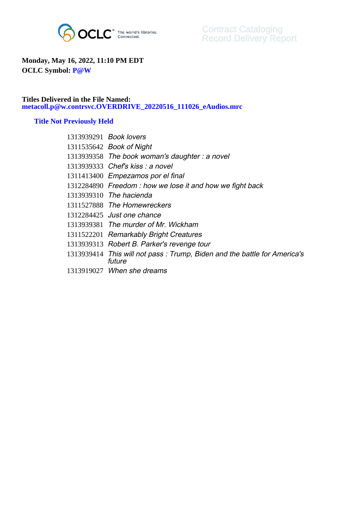

## **Monday, May 16, 2022, 11:10 PM EDT OCLC Symbol: P@W**

## **Titles Delivered in the File Named: metacoll.p@w.contrsvc.OVERDRIVE\_20220516\_111026\_eAudios.mrc**

## **Title Not Previously Held**

| 1313939291 Book lovers                                                             |
|------------------------------------------------------------------------------------|
| 1311535642 Book of Night                                                           |
| 1313939358 The book woman's daughter: a novel                                      |
| 1313939333 Chef's kiss: a novel                                                    |
| 1311413400 Empezamos por el final                                                  |
| 1312284890 Freedom: how we lose it and how we fight back                           |
| 1313939310 The hacienda                                                            |
| 1311527888 The Homewreckers                                                        |
| 1312284425 Just one chance                                                         |
| 1313939381 The murder of Mr. Wickham                                               |
| 1311522201 Remarkably Bright Creatures                                             |
| 1313939313 Robert B. Parker's revenge tour                                         |
| 1313939414 This will not pass: Trump, Biden and the battle for America's<br>future |
| 1313919027 When she dreams                                                         |